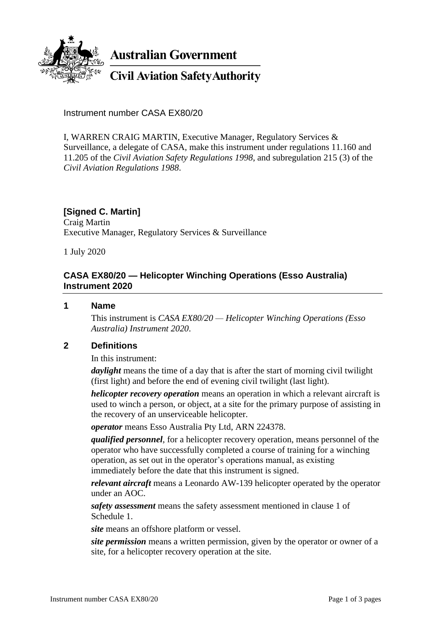

**Australian Government** 

**Civil Aviation Safety Authority** 

Instrument number CASA EX80/20

I, WARREN CRAIG MARTIN, Executive Manager, Regulatory Services & Surveillance, a delegate of CASA, make this instrument under regulations 11.160 and 11.205 of the *Civil Aviation Safety Regulations 1998*, and subregulation 215 (3) of the *Civil Aviation Regulations 1988*.

# **[Signed C. Martin]**

Craig Martin Executive Manager, Regulatory Services & Surveillance

1 July 2020

## **CASA EX80/20 — Helicopter Winching Operations (Esso Australia) Instrument 2020**

### **1 Name**

This instrument is *CASA EX80/20 — Helicopter Winching Operations (Esso Australia) Instrument 2020*.

## **2 Definitions**

In this instrument:

*daylight* means the time of a day that is after the start of morning civil twilight (first light) and before the end of evening civil twilight (last light).

*helicopter recovery operation* means an operation in which a relevant aircraft is used to winch a person, or object, at a site for the primary purpose of assisting in the recovery of an unserviceable helicopter.

*operator* means Esso Australia Pty Ltd, ARN 224378.

*qualified personnel*, for a helicopter recovery operation, means personnel of the operator who have successfully completed a course of training for a winching operation, as set out in the operator's operations manual, as existing immediately before the date that this instrument is signed.

*relevant aircraft* means a Leonardo AW-139 helicopter operated by the operator under an AOC.

*safety assessment* means the safety assessment mentioned in clause 1 of Schedule 1.

*site* means an offshore platform or vessel.

*site permission* means a written permission, given by the operator or owner of a site, for a helicopter recovery operation at the site.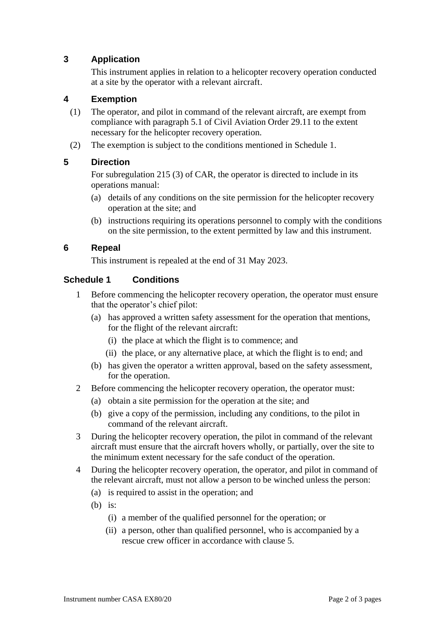# **3 Application**

This instrument applies in relation to a helicopter recovery operation conducted at a site by the operator with a relevant aircraft.

### **4 Exemption**

- (1) The operator, and pilot in command of the relevant aircraft, are exempt from compliance with paragraph 5.1 of Civil Aviation Order 29.11 to the extent necessary for the helicopter recovery operation.
- (2) The exemption is subject to the conditions mentioned in Schedule 1.

## **5 Direction**

For subregulation 215 (3) of CAR, the operator is directed to include in its operations manual:

- (a) details of any conditions on the site permission for the helicopter recovery operation at the site; and
- (b) instructions requiring its operations personnel to comply with the conditions on the site permission, to the extent permitted by law and this instrument.

### **6 Repeal**

This instrument is repealed at the end of 31 May 2023.

### **Schedule 1 Conditions**

- 1 Before commencing the helicopter recovery operation, the operator must ensure that the operator's chief pilot:
	- (a) has approved a written safety assessment for the operation that mentions, for the flight of the relevant aircraft:
		- (i) the place at which the flight is to commence; and
		- (ii) the place, or any alternative place, at which the flight is to end; and
	- (b) has given the operator a written approval, based on the safety assessment, for the operation.
- 2 Before commencing the helicopter recovery operation, the operator must:
	- (a) obtain a site permission for the operation at the site; and
	- (b) give a copy of the permission, including any conditions, to the pilot in command of the relevant aircraft.
- 3 During the helicopter recovery operation, the pilot in command of the relevant aircraft must ensure that the aircraft hovers wholly, or partially, over the site to the minimum extent necessary for the safe conduct of the operation.
- 4 During the helicopter recovery operation, the operator, and pilot in command of the relevant aircraft, must not allow a person to be winched unless the person:
	- (a) is required to assist in the operation; and
	- $(b)$  is:
		- (i) a member of the qualified personnel for the operation; or
		- (ii) a person, other than qualified personnel, who is accompanied by a rescue crew officer in accordance with clause 5.